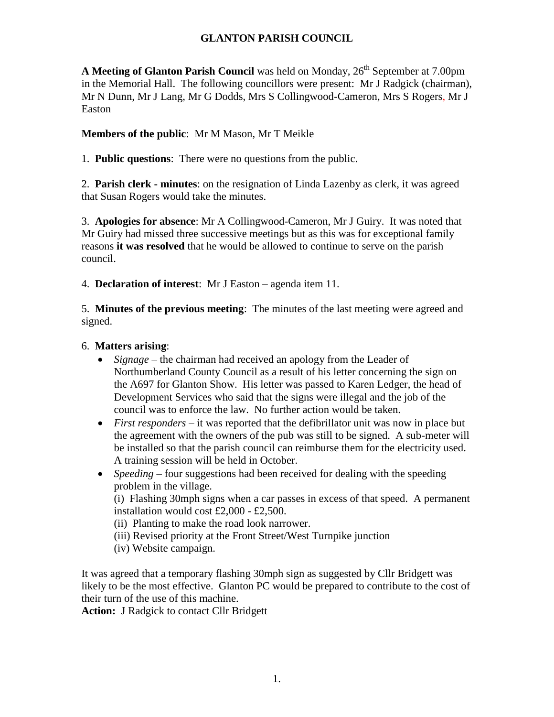## **GLANTON PARISH COUNCIL**

**A Meeting of Glanton Parish Council** was held on Monday, 26<sup>th</sup> September at 7.00pm in the Memorial Hall. The following councillors were present: Mr J Radgick (chairman), Mr N Dunn, Mr J Lang, Mr G Dodds, Mrs S Collingwood-Cameron, Mrs S Rogers, Mr J Easton

#### **Members of the public**: Mr M Mason, Mr T Meikle

1. **Public questions**: There were no questions from the public.

2. **Parish clerk - minutes**: on the resignation of Linda Lazenby as clerk, it was agreed that Susan Rogers would take the minutes.

3. **Apologies for absence**: Mr A Collingwood-Cameron, Mr J Guiry. It was noted that Mr Guiry had missed three successive meetings but as this was for exceptional family reasons **it was resolved** that he would be allowed to continue to serve on the parish council.

4. **Declaration of interest**: Mr J Easton – agenda item 11.

5. **Minutes of the previous meeting**: The minutes of the last meeting were agreed and signed.

#### 6. **Matters arising**:

- *Signage* the chairman had received an apology from the Leader of Northumberland County Council as a result of his letter concerning the sign on the A697 for Glanton Show. His letter was passed to Karen Ledger, the head of Development Services who said that the signs were illegal and the job of the council was to enforce the law. No further action would be taken.
- *First responders* it was reported that the defibrillator unit was now in place but the agreement with the owners of the pub was still to be signed. A sub-meter will be installed so that the parish council can reimburse them for the electricity used. A training session will be held in October.
- *Speeding* four suggestions had been received for dealing with the speeding problem in the village.

(i) Flashing 30mph signs when a car passes in excess of that speed. A permanent installation would cost £2,000 - £2,500.

(ii) Planting to make the road look narrower.

- (iii) Revised priority at the Front Street/West Turnpike junction
- (iv) Website campaign.

It was agreed that a temporary flashing 30mph sign as suggested by Cllr Bridgett was likely to be the most effective. Glanton PC would be prepared to contribute to the cost of their turn of the use of this machine.

**Action:** J Radgick to contact Cllr Bridgett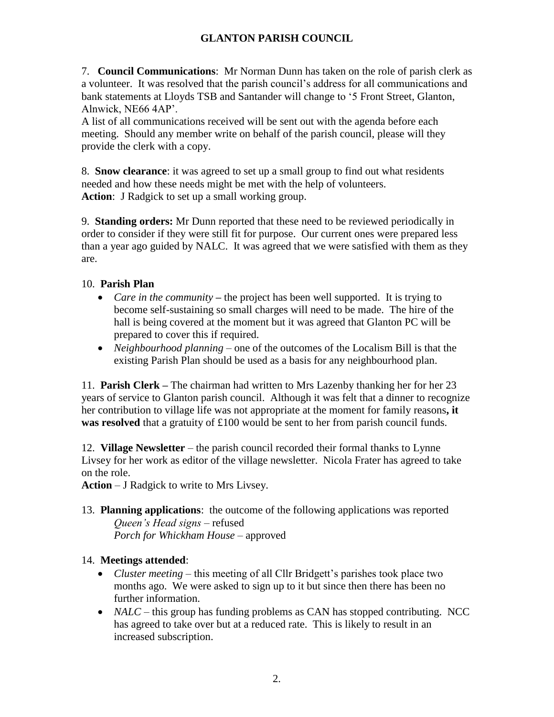# **GLANTON PARISH COUNCIL**

7. **Council Communications**: Mr Norman Dunn has taken on the role of parish clerk as a volunteer. It was resolved that the parish council's address for all communications and bank statements at Lloyds TSB and Santander will change to '5 Front Street, Glanton, Alnwick, NE66 4AP'.

A list of all communications received will be sent out with the agenda before each meeting. Should any member write on behalf of the parish council, please will they provide the clerk with a copy.

8. **Snow clearance**: it was agreed to set up a small group to find out what residents needed and how these needs might be met with the help of volunteers. **Action**: J Radgick to set up a small working group.

9. **Standing orders:** Mr Dunn reported that these need to be reviewed periodically in order to consider if they were still fit for purpose. Our current ones were prepared less than a year ago guided by NALC. It was agreed that we were satisfied with them as they are.

## 10. **Parish Plan**

- *Care in the community* the project has been well supported. It is trying to become self-sustaining so small charges will need to be made. The hire of the hall is being covered at the moment but it was agreed that Glanton PC will be prepared to cover this if required.
- *Neighbourhood planning* one of the outcomes of the Localism Bill is that the existing Parish Plan should be used as a basis for any neighbourhood plan.

11. **Parish Clerk –** The chairman had written to Mrs Lazenby thanking her for her 23 years of service to Glanton parish council. Although it was felt that a dinner to recognize her contribution to village life was not appropriate at the moment for family reasons**, it was resolved** that a gratuity of £100 would be sent to her from parish council funds.

12. **Village Newsletter** – the parish council recorded their formal thanks to Lynne Livsey for her work as editor of the village newsletter. Nicola Frater has agreed to take on the role.

**Action** – J Radgick to write to Mrs Livsey.

13. **Planning applications**: the outcome of the following applications was reported *Queen's Head signs –* refused *Porch for Whickham House* – approved

### 14. **Meetings attended**:

- *Cluster meeting*  this meeting of all Cllr Bridgett's parishes took place two months ago. We were asked to sign up to it but since then there has been no further information.
- *NALC* this group has funding problems as CAN has stopped contributing. NCC has agreed to take over but at a reduced rate. This is likely to result in an increased subscription.